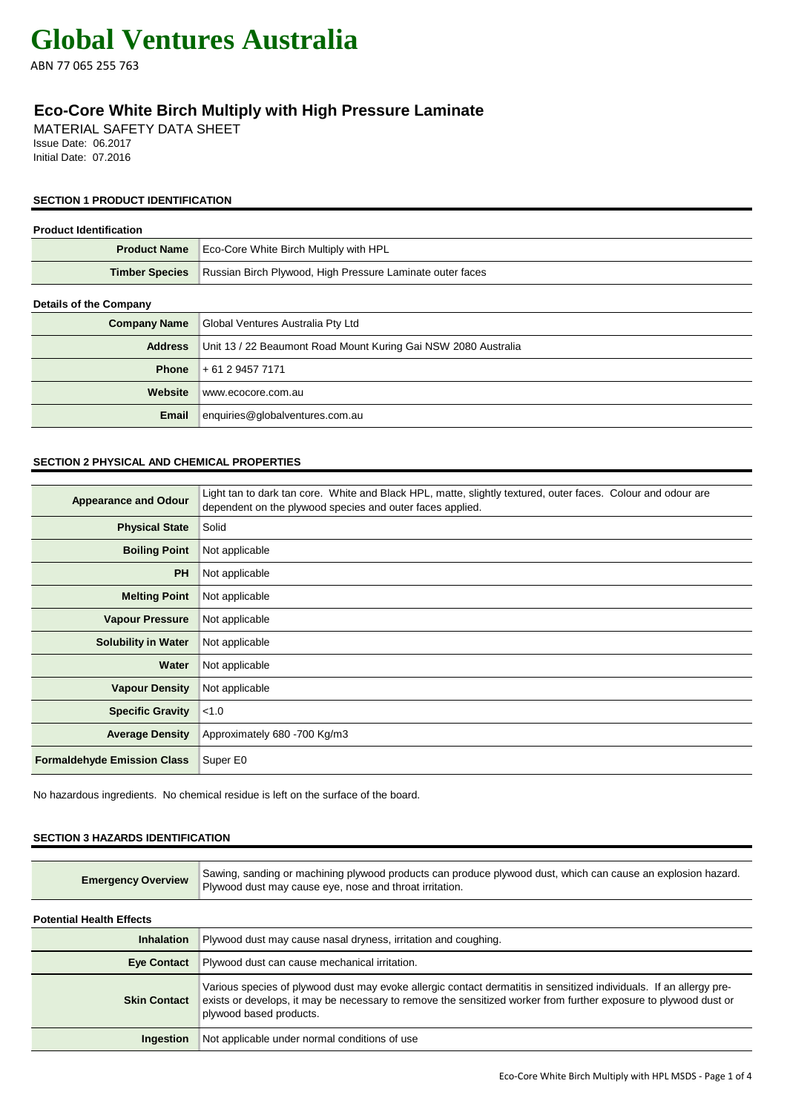ABN 77 065 255 763

# **Eco-Core White Birch Multiply with High Pressure Laminate**

MATERIAL SAFETY DATA SHEET Issue Date: 06.2017 Initial Date: 07.2016

### **SECTION 1 PRODUCT IDENTIFICATION**

| <b>Product Identification</b> |                                                                |  |
|-------------------------------|----------------------------------------------------------------|--|
| <b>Product Name</b>           | Eco-Core White Birch Multiply with HPL                         |  |
| <b>Timber Species</b>         | Russian Birch Plywood, High Pressure Laminate outer faces      |  |
| <b>Details of the Company</b> |                                                                |  |
| <b>Company Name</b>           | Global Ventures Australia Pty Ltd                              |  |
| <b>Address</b>                | Unit 13 / 22 Beaumont Road Mount Kuring Gai NSW 2080 Australia |  |
| <b>Phone</b>                  | + 61 2 9457 7171                                               |  |
| Website                       | www.ecocore.com.au                                             |  |
| Email                         | enquiries@globalventures.com.au                                |  |

### **SECTION 2 PHYSICAL AND CHEMICAL PROPERTIES**

| <b>Appearance and Odour</b>        | Light tan to dark tan core. White and Black HPL, matte, slightly textured, outer faces. Colour and odour are<br>dependent on the plywood species and outer faces applied. |
|------------------------------------|---------------------------------------------------------------------------------------------------------------------------------------------------------------------------|
| <b>Physical State</b>              | Solid                                                                                                                                                                     |
| <b>Boiling Point</b>               | Not applicable                                                                                                                                                            |
| <b>PH</b>                          | Not applicable                                                                                                                                                            |
| <b>Melting Point</b>               | Not applicable                                                                                                                                                            |
| <b>Vapour Pressure</b>             | Not applicable                                                                                                                                                            |
| <b>Solubility in Water</b>         | Not applicable                                                                                                                                                            |
| Water                              | Not applicable                                                                                                                                                            |
| <b>Vapour Density</b>              | Not applicable                                                                                                                                                            |
| <b>Specific Gravity</b>            | < 1.0                                                                                                                                                                     |
| <b>Average Density</b>             | Approximately 680 - 700 Kg/m3                                                                                                                                             |
| <b>Formaldehyde Emission Class</b> | Super E0                                                                                                                                                                  |

No hazardous ingredients. No chemical residue is left on the surface of the board.

#### **SECTION 3 HAZARDS IDENTIFICATION**

| <b>Emergency Overview</b> | Sawing, sanding or machining plywood products can produce plywood dust, which can cause an explosion hazard.<br>Plywood dust may cause eye, nose and throat irritation. |
|---------------------------|-------------------------------------------------------------------------------------------------------------------------------------------------------------------------|
|                           |                                                                                                                                                                         |

**Potential Health Effects**

| <b>Inhalation</b>   | Plywood dust may cause nasal dryness, irritation and coughing.                                                                                                                                                                                                     |
|---------------------|--------------------------------------------------------------------------------------------------------------------------------------------------------------------------------------------------------------------------------------------------------------------|
| <b>Eye Contact</b>  | Plywood dust can cause mechanical irritation.                                                                                                                                                                                                                      |
| <b>Skin Contact</b> | Various species of plywood dust may evoke allergic contact dermatitis in sensitized individuals. If an allergy pre-<br>exists or develops, it may be necessary to remove the sensitized worker from further exposure to plywood dust or<br>plywood based products. |
| <b>Ingestion</b>    | Not applicable under normal conditions of use                                                                                                                                                                                                                      |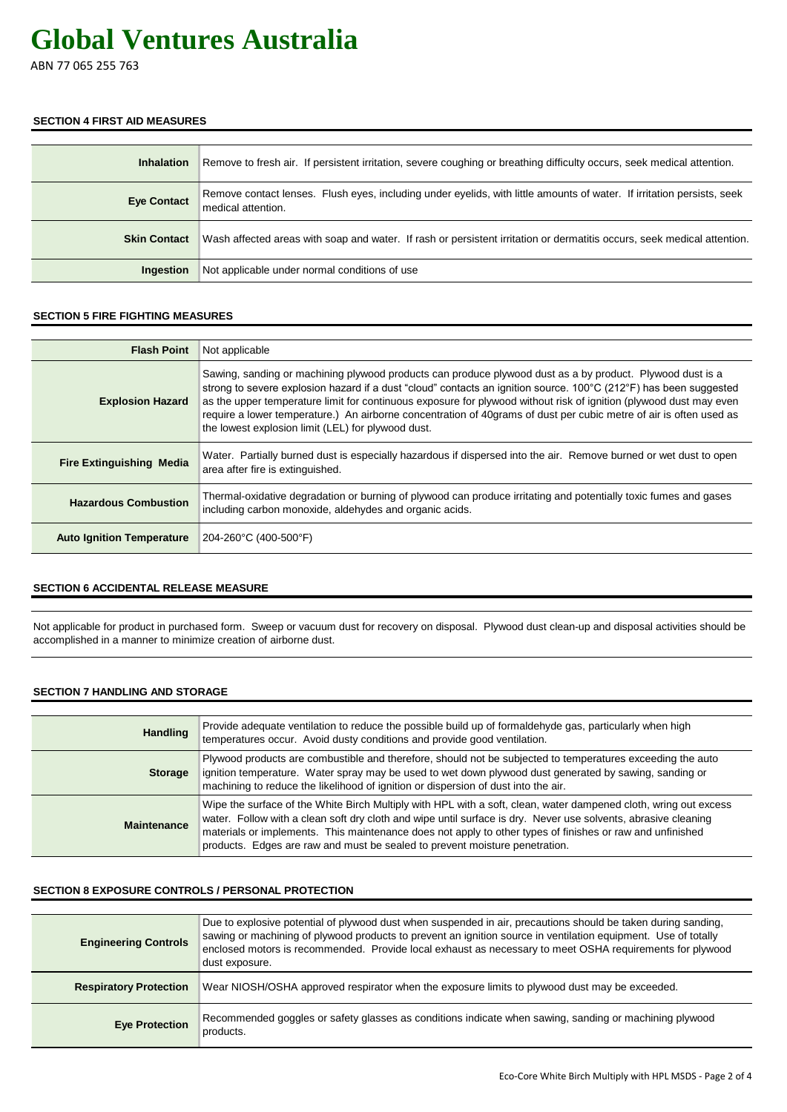ABN 77 065 255 763

#### **SECTION 4 FIRST AID MEASURES**

| <b>Inhalation</b>   | Remove to fresh air. If persistent irritation, severe coughing or breathing difficulty occurs, seek medical attention.                       |
|---------------------|----------------------------------------------------------------------------------------------------------------------------------------------|
| <b>Eye Contact</b>  | Remove contact lenses. Flush eyes, including under eyelids, with little amounts of water. If irritation persists, seek<br>medical attention. |
| <b>Skin Contact</b> | Wash affected areas with soap and water. If rash or persistent irritation or dermatitis occurs, seek medical attention.                      |
| <b>Ingestion</b>    | Not applicable under normal conditions of use                                                                                                |

### **SECTION 5 FIRE FIGHTING MEASURES**

| <b>Flash Point</b>               | Not applicable                                                                                                                                                                                                                                                                                                                                                                                                                                                                                                                    |
|----------------------------------|-----------------------------------------------------------------------------------------------------------------------------------------------------------------------------------------------------------------------------------------------------------------------------------------------------------------------------------------------------------------------------------------------------------------------------------------------------------------------------------------------------------------------------------|
| <b>Explosion Hazard</b>          | Sawing, sanding or machining plywood products can produce plywood dust as a by product. Plywood dust is a<br>strong to severe explosion hazard if a dust "cloud" contacts an ignition source. 100°C (212°F) has been suggested<br>as the upper temperature limit for continuous exposure for plywood without risk of ignition (plywood dust may even<br>require a lower temperature.) An airborne concentration of 40 grams of dust per cubic metre of air is often used as<br>the lowest explosion limit (LEL) for plywood dust. |
| <b>Fire Extinguishing Media</b>  | Water. Partially burned dust is especially hazardous if dispersed into the air. Remove burned or wet dust to open<br>area after fire is extinguished.                                                                                                                                                                                                                                                                                                                                                                             |
| <b>Hazardous Combustion</b>      | Thermal-oxidative degradation or burning of plywood can produce irritating and potentially toxic fumes and gases<br>including carbon monoxide, aldehydes and organic acids.                                                                                                                                                                                                                                                                                                                                                       |
| <b>Auto Ignition Temperature</b> | 204-260°C (400-500°F)                                                                                                                                                                                                                                                                                                                                                                                                                                                                                                             |

#### **SECTION 6 ACCIDENTAL RELEASE MEASURE**

Not applicable for product in purchased form. Sweep or vacuum dust for recovery on disposal. Plywood dust clean-up and disposal activities should be accomplished in a manner to minimize creation of airborne dust.

#### **SECTION 7 HANDLING AND STORAGE**

| <b>Handling</b>    | Provide adequate ventilation to reduce the possible build up of formaldehyde gas, particularly when high<br>temperatures occur. Avoid dusty conditions and provide good ventilation.                                                                                                                                                                                                                                           |
|--------------------|--------------------------------------------------------------------------------------------------------------------------------------------------------------------------------------------------------------------------------------------------------------------------------------------------------------------------------------------------------------------------------------------------------------------------------|
| <b>Storage</b>     | Plywood products are combustible and therefore, should not be subjected to temperatures exceeding the auto<br>ignition temperature. Water spray may be used to wet down plywood dust generated by sawing, sanding or<br>machining to reduce the likelihood of ignition or dispersion of dust into the air.                                                                                                                     |
| <b>Maintenance</b> | Wipe the surface of the White Birch Multiply with HPL with a soft, clean, water dampened cloth, wring out excess<br>water. Follow with a clean soft dry cloth and wipe until surface is dry. Never use solvents, abrasive cleaning<br>materials or implements. This maintenance does not apply to other types of finishes or raw and unfinished<br>products. Edges are raw and must be sealed to prevent moisture penetration. |

#### **SECTION 8 EXPOSURE CONTROLS / PERSONAL PROTECTION**

| <b>Engineering Controls</b>   | Due to explosive potential of plywood dust when suspended in air, precautions should be taken during sanding,<br>sawing or machining of plywood products to prevent an ignition source in ventilation equipment. Use of totally<br>enclosed motors is recommended. Provide local exhaust as necessary to meet OSHA requirements for plywood<br>dust exposure. |
|-------------------------------|---------------------------------------------------------------------------------------------------------------------------------------------------------------------------------------------------------------------------------------------------------------------------------------------------------------------------------------------------------------|
| <b>Respiratory Protection</b> | Wear NIOSH/OSHA approved respirator when the exposure limits to plywood dust may be exceeded.                                                                                                                                                                                                                                                                 |
| <b>Eye Protection</b>         | Recommended goggles or safety glasses as conditions indicate when sawing, sanding or machining plywood<br>products.                                                                                                                                                                                                                                           |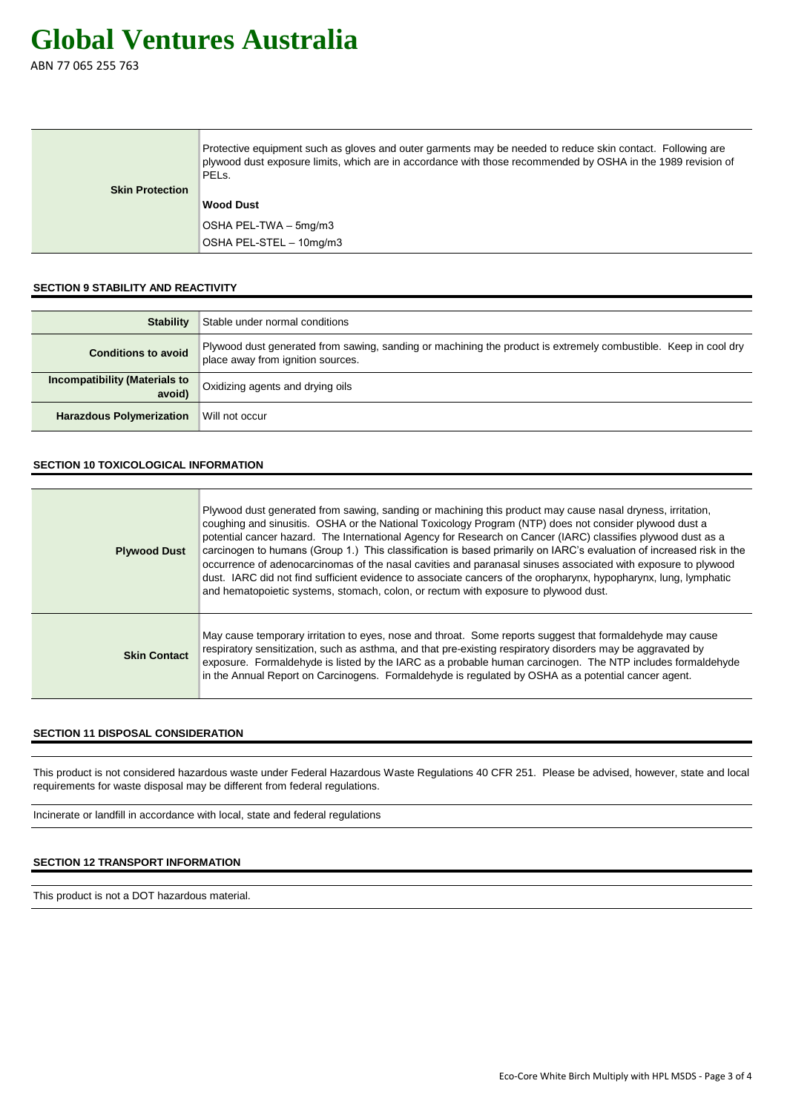ABN 77 065 255 763

|                        | Protective equipment such as gloves and outer garments may be needed to reduce skin contact. Following are<br>plywood dust exposure limits, which are in accordance with those recommended by OSHA in the 1989 revision of<br>PELs. |
|------------------------|-------------------------------------------------------------------------------------------------------------------------------------------------------------------------------------------------------------------------------------|
| <b>Skin Protection</b> |                                                                                                                                                                                                                                     |
|                        | <b>Wood Dust</b>                                                                                                                                                                                                                    |
|                        | OSHA PEL-TWA – 5mg/m3                                                                                                                                                                                                               |
|                        | OSHA PEL-STEL - 10mg/m3                                                                                                                                                                                                             |

### **SECTION 9 STABILITY AND REACTIVITY**

| <b>Stability</b>                               | Stable under normal conditions                                                                                                                       |
|------------------------------------------------|------------------------------------------------------------------------------------------------------------------------------------------------------|
| <b>Conditions to avoid</b>                     | Plywood dust generated from sawing, sanding or machining the product is extremely combustible. Keep in cool dry<br>place away from ignition sources. |
| <b>Incompatibility (Materials to</b><br>avoid) | Oxidizing agents and drying oils                                                                                                                     |
| <b>Harazdous Polymerization</b>                | Will not occur                                                                                                                                       |

## **SECTION 10 TOXICOLOGICAL INFORMATION**

| <b>Plywood Dust</b> | Plywood dust generated from sawing, sanding or machining this product may cause nasal dryness, irritation,<br>coughing and sinusitis. OSHA or the National Toxicology Program (NTP) does not consider plywood dust a<br>potential cancer hazard. The International Agency for Research on Cancer (IARC) classifies plywood dust as a<br>carcinogen to humans (Group 1.) This classification is based primarily on IARC's evaluation of increased risk in the<br>occurrence of adenocarcinomas of the nasal cavities and paranasal sinuses associated with exposure to plywood<br>dust. IARC did not find sufficient evidence to associate cancers of the oropharynx, hypopharynx, lung, lymphatic<br>and hematopoietic systems, stomach, colon, or rectum with exposure to plywood dust. |
|---------------------|------------------------------------------------------------------------------------------------------------------------------------------------------------------------------------------------------------------------------------------------------------------------------------------------------------------------------------------------------------------------------------------------------------------------------------------------------------------------------------------------------------------------------------------------------------------------------------------------------------------------------------------------------------------------------------------------------------------------------------------------------------------------------------------|
| <b>Skin Contact</b> | May cause temporary irritation to eyes, nose and throat. Some reports suggest that formaldehyde may cause<br>respiratory sensitization, such as asthma, and that pre-existing respiratory disorders may be aggravated by<br>exposure. Formaldehyde is listed by the IARC as a probable human carcinogen. The NTP includes formaldehyde<br>in the Annual Report on Carcinogens. Formaldehyde is regulated by OSHA as a potential cancer agent.                                                                                                                                                                                                                                                                                                                                            |

### **SECTION 11 DISPOSAL CONSIDERATION**

This product is not considered hazardous waste under Federal Hazardous Waste Regulations 40 CFR 251. Please be advised, however, state and local requirements for waste disposal may be different from federal regulations.

Incinerate or landfill in accordance with local, state and federal regulations

# **SECTION 12 TRANSPORT INFORMATION**

This product is not a DOT hazardous material.